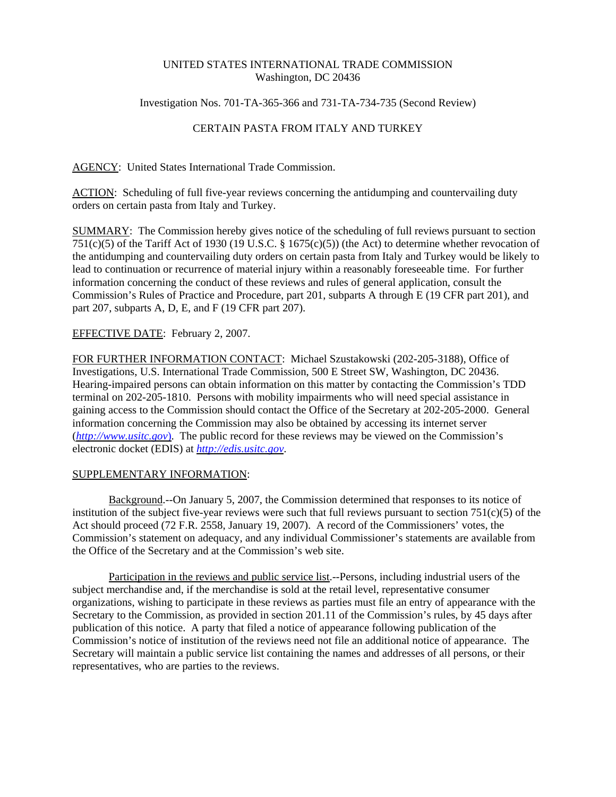## UNITED STATES INTERNATIONAL TRADE COMMISSION Washington, DC 20436

Investigation Nos. 701-TA-365-366 and 731-TA-734-735 (Second Review)

## CERTAIN PASTA FROM ITALY AND TURKEY

AGENCY: United States International Trade Commission.

ACTION: Scheduling of full five-year reviews concerning the antidumping and countervailing duty orders on certain pasta from Italy and Turkey.

SUMMARY: The Commission hereby gives notice of the scheduling of full reviews pursuant to section 751(c)(5) of the Tariff Act of 1930 (19 U.S.C. § 1675(c)(5)) (the Act) to determine whether revocation of the antidumping and countervailing duty orders on certain pasta from Italy and Turkey would be likely to lead to continuation or recurrence of material injury within a reasonably foreseeable time. For further information concerning the conduct of these reviews and rules of general application, consult the Commission's Rules of Practice and Procedure, part 201, subparts A through E (19 CFR part 201), and part 207, subparts A, D, E, and F (19 CFR part 207).

## EFFECTIVE DATE: February 2, 2007.

FOR FURTHER INFORMATION CONTACT: Michael Szustakowski (202-205-3188), Office of Investigations, U.S. International Trade Commission, 500 E Street SW, Washington, DC 20436. Hearing-impaired persons can obtain information on this matter by contacting the Commission's TDD terminal on 202-205-1810. Persons with mobility impairments who will need special assistance in gaining access to the Commission should contact the Office of the Secretary at 202-205-2000. General information concerning the Commission may also be obtained by accessing its internet server (*http://www.usitc.gov*). The public record for these reviews may be viewed on the Commission's electronic docket (EDIS) at *http://edis.usitc.gov*.

## SUPPLEMENTARY INFORMATION:

Background.--On January 5, 2007, the Commission determined that responses to its notice of institution of the subject five-year reviews were such that full reviews pursuant to section  $751(c)(5)$  of the Act should proceed (72 F.R. 2558, January 19, 2007). A record of the Commissioners' votes, the Commission's statement on adequacy, and any individual Commissioner's statements are available from the Office of the Secretary and at the Commission's web site.

Participation in the reviews and public service list.--Persons, including industrial users of the subject merchandise and, if the merchandise is sold at the retail level, representative consumer organizations, wishing to participate in these reviews as parties must file an entry of appearance with the Secretary to the Commission, as provided in section 201.11 of the Commission's rules, by 45 days after publication of this notice. A party that filed a notice of appearance following publication of the Commission's notice of institution of the reviews need not file an additional notice of appearance. The Secretary will maintain a public service list containing the names and addresses of all persons, or their representatives, who are parties to the reviews.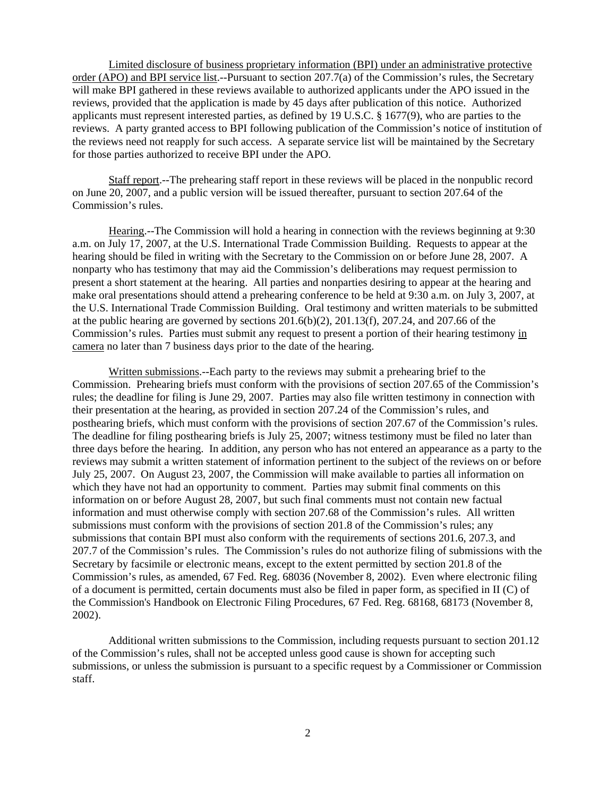Limited disclosure of business proprietary information (BPI) under an administrative protective order (APO) and BPI service list.--Pursuant to section 207.7(a) of the Commission's rules, the Secretary will make BPI gathered in these reviews available to authorized applicants under the APO issued in the reviews, provided that the application is made by 45 days after publication of this notice. Authorized applicants must represent interested parties, as defined by 19 U.S.C. § 1677(9), who are parties to the reviews. A party granted access to BPI following publication of the Commission's notice of institution of the reviews need not reapply for such access. A separate service list will be maintained by the Secretary for those parties authorized to receive BPI under the APO.

Staff report.--The prehearing staff report in these reviews will be placed in the nonpublic record on June 20, 2007, and a public version will be issued thereafter, pursuant to section 207.64 of the Commission's rules.

Hearing.--The Commission will hold a hearing in connection with the reviews beginning at 9:30 a.m. on July 17, 2007, at the U.S. International Trade Commission Building. Requests to appear at the hearing should be filed in writing with the Secretary to the Commission on or before June 28, 2007. A nonparty who has testimony that may aid the Commission's deliberations may request permission to present a short statement at the hearing. All parties and nonparties desiring to appear at the hearing and make oral presentations should attend a prehearing conference to be held at 9:30 a.m. on July 3, 2007, at the U.S. International Trade Commission Building. Oral testimony and written materials to be submitted at the public hearing are governed by sections  $201.6(b)(2)$ ,  $201.13(f)$ ,  $207.24$ , and  $207.66$  of the Commission's rules. Parties must submit any request to present a portion of their hearing testimony in camera no later than 7 business days prior to the date of the hearing.

Written submissions.--Each party to the reviews may submit a prehearing brief to the Commission. Prehearing briefs must conform with the provisions of section 207.65 of the Commission's rules; the deadline for filing is June 29, 2007. Parties may also file written testimony in connection with their presentation at the hearing, as provided in section 207.24 of the Commission's rules, and posthearing briefs, which must conform with the provisions of section 207.67 of the Commission's rules. The deadline for filing posthearing briefs is July 25, 2007; witness testimony must be filed no later than three days before the hearing. In addition, any person who has not entered an appearance as a party to the reviews may submit a written statement of information pertinent to the subject of the reviews on or before July 25, 2007. On August 23, 2007, the Commission will make available to parties all information on which they have not had an opportunity to comment. Parties may submit final comments on this information on or before August 28, 2007, but such final comments must not contain new factual information and must otherwise comply with section 207.68 of the Commission's rules. All written submissions must conform with the provisions of section 201.8 of the Commission's rules; any submissions that contain BPI must also conform with the requirements of sections 201.6, 207.3, and 207.7 of the Commission's rules. The Commission's rules do not authorize filing of submissions with the Secretary by facsimile or electronic means, except to the extent permitted by section 201.8 of the Commission's rules, as amended, 67 Fed. Reg. 68036 (November 8, 2002). Even where electronic filing of a document is permitted, certain documents must also be filed in paper form, as specified in II (C) of the Commission's Handbook on Electronic Filing Procedures, 67 Fed. Reg. 68168, 68173 (November 8, 2002).

Additional written submissions to the Commission, including requests pursuant to section 201.12 of the Commission's rules, shall not be accepted unless good cause is shown for accepting such submissions, or unless the submission is pursuant to a specific request by a Commissioner or Commission staff.